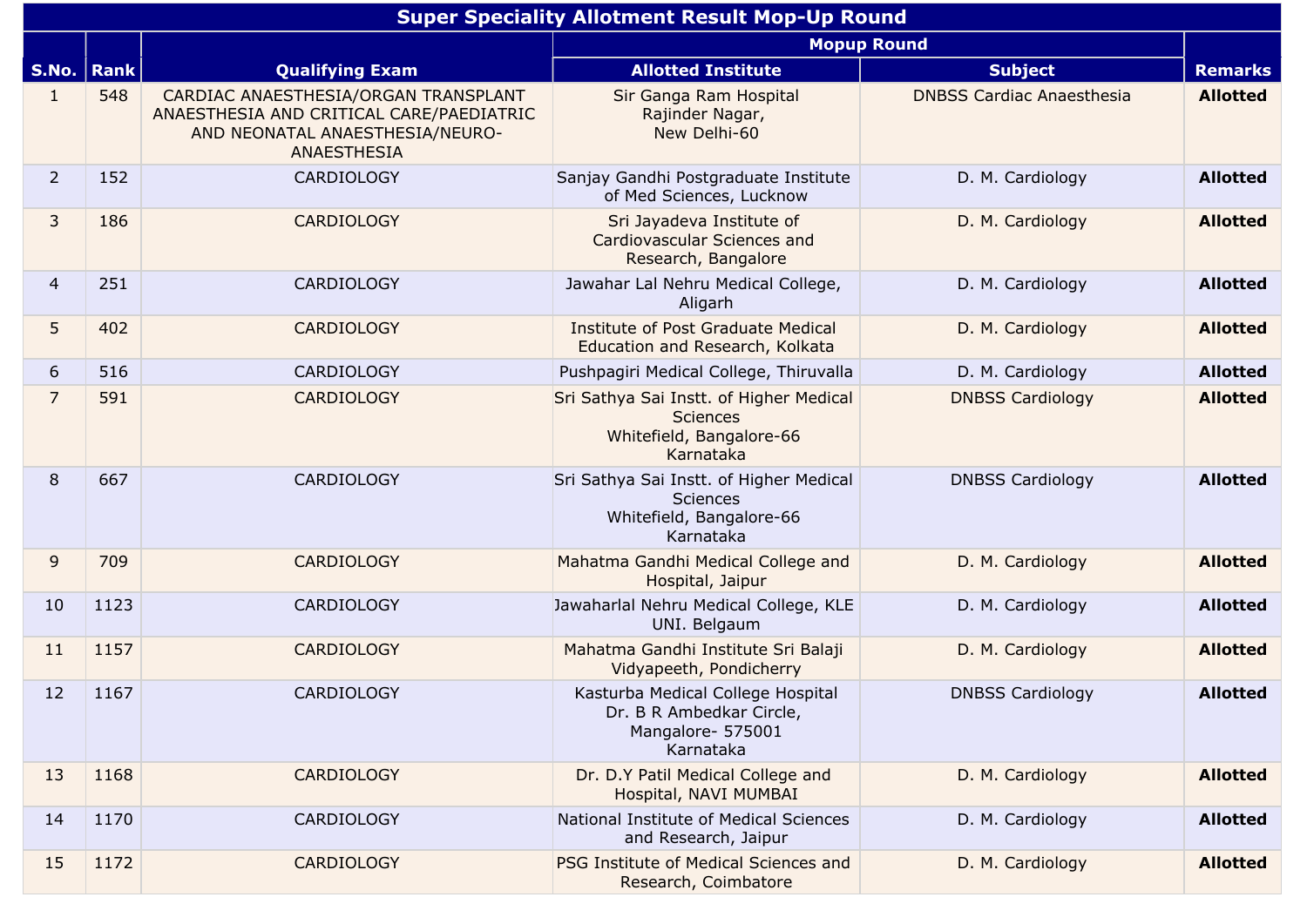|                | <b>Super Speciality Allotment Result Mop-Up Round</b> |                                                                                                                                           |                                                                                                     |                                  |                 |  |  |  |
|----------------|-------------------------------------------------------|-------------------------------------------------------------------------------------------------------------------------------------------|-----------------------------------------------------------------------------------------------------|----------------------------------|-----------------|--|--|--|
|                |                                                       | <b>Mopup Round</b>                                                                                                                        |                                                                                                     |                                  |                 |  |  |  |
| S.No.   Rank   |                                                       | <b>Qualifying Exam</b>                                                                                                                    | <b>Allotted Institute</b>                                                                           | <b>Subject</b>                   | <b>Remarks</b>  |  |  |  |
| 1              | 548                                                   | CARDIAC ANAESTHESIA/ORGAN TRANSPLANT<br>ANAESTHESIA AND CRITICAL CARE/PAEDIATRIC<br>AND NEONATAL ANAESTHESIA/NEURO-<br><b>ANAESTHESIA</b> | Sir Ganga Ram Hospital<br>Rajinder Nagar,<br>New Delhi-60                                           | <b>DNBSS Cardiac Anaesthesia</b> | <b>Allotted</b> |  |  |  |
| 2 <sup>1</sup> | 152                                                   | <b>CARDIOLOGY</b>                                                                                                                         | Sanjay Gandhi Postgraduate Institute<br>of Med Sciences, Lucknow                                    | D. M. Cardiology                 | <b>Allotted</b> |  |  |  |
| $\mathbf{3}$   | 186                                                   | <b>CARDIOLOGY</b>                                                                                                                         | Sri Jayadeva Institute of<br>Cardiovascular Sciences and<br>Research, Bangalore                     | D. M. Cardiology                 | <b>Allotted</b> |  |  |  |
| $\overline{4}$ | 251                                                   | <b>CARDIOLOGY</b>                                                                                                                         | Jawahar Lal Nehru Medical College,<br>Aligarh                                                       | D. M. Cardiology                 | <b>Allotted</b> |  |  |  |
| 5              | 402                                                   | <b>CARDIOLOGY</b>                                                                                                                         | <b>Institute of Post Graduate Medical</b><br>Education and Research, Kolkata                        | D. M. Cardiology                 | <b>Allotted</b> |  |  |  |
| 6              | 516                                                   | <b>CARDIOLOGY</b>                                                                                                                         | Pushpagiri Medical College, Thiruvalla                                                              | D. M. Cardiology                 | <b>Allotted</b> |  |  |  |
| $\overline{7}$ | 591                                                   | <b>CARDIOLOGY</b>                                                                                                                         | Sri Sathya Sai Instt. of Higher Medical<br><b>Sciences</b><br>Whitefield, Bangalore-66<br>Karnataka | <b>DNBSS Cardiology</b>          | <b>Allotted</b> |  |  |  |
| 8              | 667                                                   | CARDIOLOGY                                                                                                                                | Sri Sathya Sai Instt. of Higher Medical<br><b>Sciences</b><br>Whitefield, Bangalore-66<br>Karnataka | <b>DNBSS Cardiology</b>          | <b>Allotted</b> |  |  |  |
| 9              | 709                                                   | <b>CARDIOLOGY</b>                                                                                                                         | Mahatma Gandhi Medical College and<br>Hospital, Jaipur                                              | D. M. Cardiology                 | <b>Allotted</b> |  |  |  |
| 10             | 1123                                                  | <b>CARDIOLOGY</b>                                                                                                                         | Jawaharlal Nehru Medical College, KLE<br>UNI. Belgaum                                               | D. M. Cardiology                 | <b>Allotted</b> |  |  |  |
| 11             | 1157                                                  | <b>CARDIOLOGY</b>                                                                                                                         | Mahatma Gandhi Institute Sri Balaji<br>Vidyapeeth, Pondicherry                                      | D. M. Cardiology                 | <b>Allotted</b> |  |  |  |
| 12             | 1167                                                  | <b>CARDIOLOGY</b>                                                                                                                         | Kasturba Medical College Hospital<br>Dr. B R Ambedkar Circle,<br>Mangalore- 575001<br>Karnataka     | <b>DNBSS Cardiology</b>          | <b>Allotted</b> |  |  |  |
| 13             | 1168                                                  | <b>CARDIOLOGY</b>                                                                                                                         | Dr. D.Y Patil Medical College and<br>Hospital, NAVI MUMBAI                                          | D. M. Cardiology                 | <b>Allotted</b> |  |  |  |
| 14             | 1170                                                  | <b>CARDIOLOGY</b>                                                                                                                         | National Institute of Medical Sciences<br>and Research, Jaipur                                      | D. M. Cardiology                 | <b>Allotted</b> |  |  |  |
| 15             | 1172                                                  | <b>CARDIOLOGY</b>                                                                                                                         | PSG Institute of Medical Sciences and<br>Research, Coimbatore                                       | D. M. Cardiology                 | <b>Allotted</b> |  |  |  |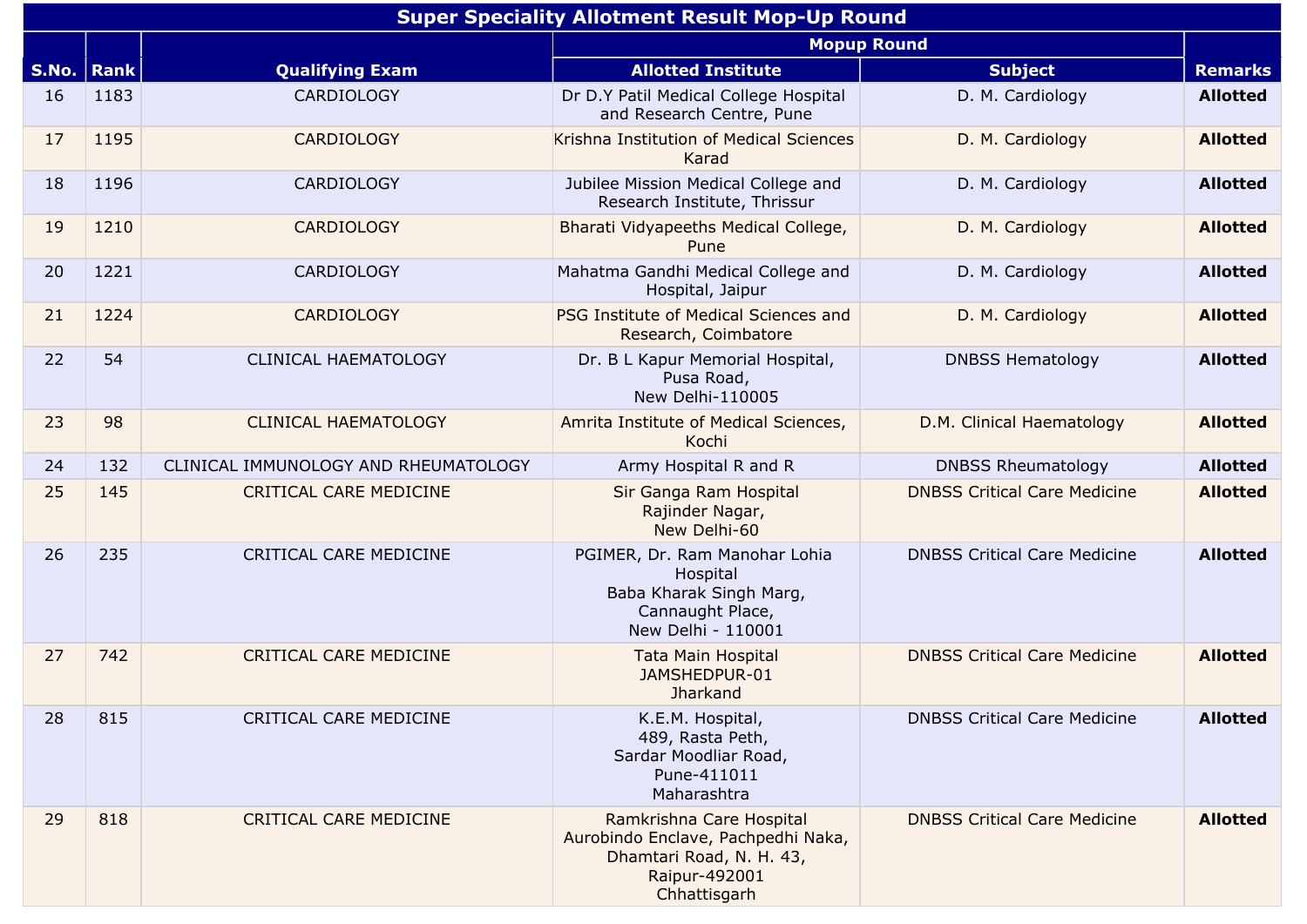|       | <b>Super Speciality Allotment Result Mop-Up Round</b> |                                      |                                                                                                                             |                                     |                 |  |  |  |
|-------|-------------------------------------------------------|--------------------------------------|-----------------------------------------------------------------------------------------------------------------------------|-------------------------------------|-----------------|--|--|--|
|       |                                                       |                                      |                                                                                                                             | <b>Mopup Round</b>                  |                 |  |  |  |
| S.No. | <b>Rank</b>                                           | <b>Qualifying Exam</b>               | <b>Allotted Institute</b>                                                                                                   | <b>Subject</b>                      | <b>Remarks</b>  |  |  |  |
| 16    | 1183                                                  | <b>CARDIOLOGY</b>                    | Dr D.Y Patil Medical College Hospital<br>and Research Centre, Pune                                                          | D. M. Cardiology                    | <b>Allotted</b> |  |  |  |
| 17    | 1195                                                  | <b>CARDIOLOGY</b>                    | Krishna Institution of Medical Sciences<br>Karad                                                                            | D. M. Cardiology                    | <b>Allotted</b> |  |  |  |
| 18    | 1196                                                  | <b>CARDIOLOGY</b>                    | Jubilee Mission Medical College and<br>Research Institute, Thrissur                                                         | D. M. Cardiology                    | <b>Allotted</b> |  |  |  |
| 19    | 1210                                                  | <b>CARDIOLOGY</b>                    | Bharati Vidyapeeths Medical College,<br>Pune                                                                                | D. M. Cardiology                    | <b>Allotted</b> |  |  |  |
| 20    | 1221                                                  | <b>CARDIOLOGY</b>                    | Mahatma Gandhi Medical College and<br>Hospital, Jaipur                                                                      | D. M. Cardiology                    | <b>Allotted</b> |  |  |  |
| 21    | 1224                                                  | <b>CARDIOLOGY</b>                    | PSG Institute of Medical Sciences and<br>Research, Coimbatore                                                               | D. M. Cardiology                    | <b>Allotted</b> |  |  |  |
| 22    | 54                                                    | <b>CLINICAL HAEMATOLOGY</b>          | Dr. B L Kapur Memorial Hospital,<br>Pusa Road,<br>New Delhi-110005                                                          | <b>DNBSS Hematology</b>             | <b>Allotted</b> |  |  |  |
| 23    | 98                                                    | <b>CLINICAL HAEMATOLOGY</b>          | Amrita Institute of Medical Sciences,<br>Kochi                                                                              | D.M. Clinical Haematology           | <b>Allotted</b> |  |  |  |
| 24    | 132                                                   | CLINICAL IMMUNOLOGY AND RHEUMATOLOGY | Army Hospital R and R                                                                                                       | <b>DNBSS Rheumatology</b>           | <b>Allotted</b> |  |  |  |
| 25    | 145                                                   | <b>CRITICAL CARE MEDICINE</b>        | Sir Ganga Ram Hospital<br>Rajinder Nagar,<br>New Delhi-60                                                                   | <b>DNBSS Critical Care Medicine</b> | <b>Allotted</b> |  |  |  |
| 26    | 235                                                   | <b>CRITICAL CARE MEDICINE</b>        | PGIMER, Dr. Ram Manohar Lohia<br>Hospital<br>Baba Kharak Singh Marg,<br>Cannaught Place,<br>New Delhi - 110001              | <b>DNBSS Critical Care Medicine</b> | <b>Allotted</b> |  |  |  |
| 27    | 742                                                   | <b>CRITICAL CARE MEDICINE</b>        | <b>Tata Main Hospital</b><br>JAMSHEDPUR-01<br><b>Jharkand</b>                                                               | <b>DNBSS Critical Care Medicine</b> | <b>Allotted</b> |  |  |  |
| 28    | 815                                                   | CRITICAL CARE MEDICINE               | K.E.M. Hospital,<br>489, Rasta Peth,<br>Sardar Moodliar Road,<br>Pune-411011<br>Maharashtra                                 | <b>DNBSS Critical Care Medicine</b> | <b>Allotted</b> |  |  |  |
| 29    | 818                                                   | <b>CRITICAL CARE MEDICINE</b>        | Ramkrishna Care Hospital<br>Aurobindo Enclave, Pachpedhi Naka,<br>Dhamtari Road, N. H. 43,<br>Raipur-492001<br>Chhattisgarh | <b>DNBSS Critical Care Medicine</b> | <b>Allotted</b> |  |  |  |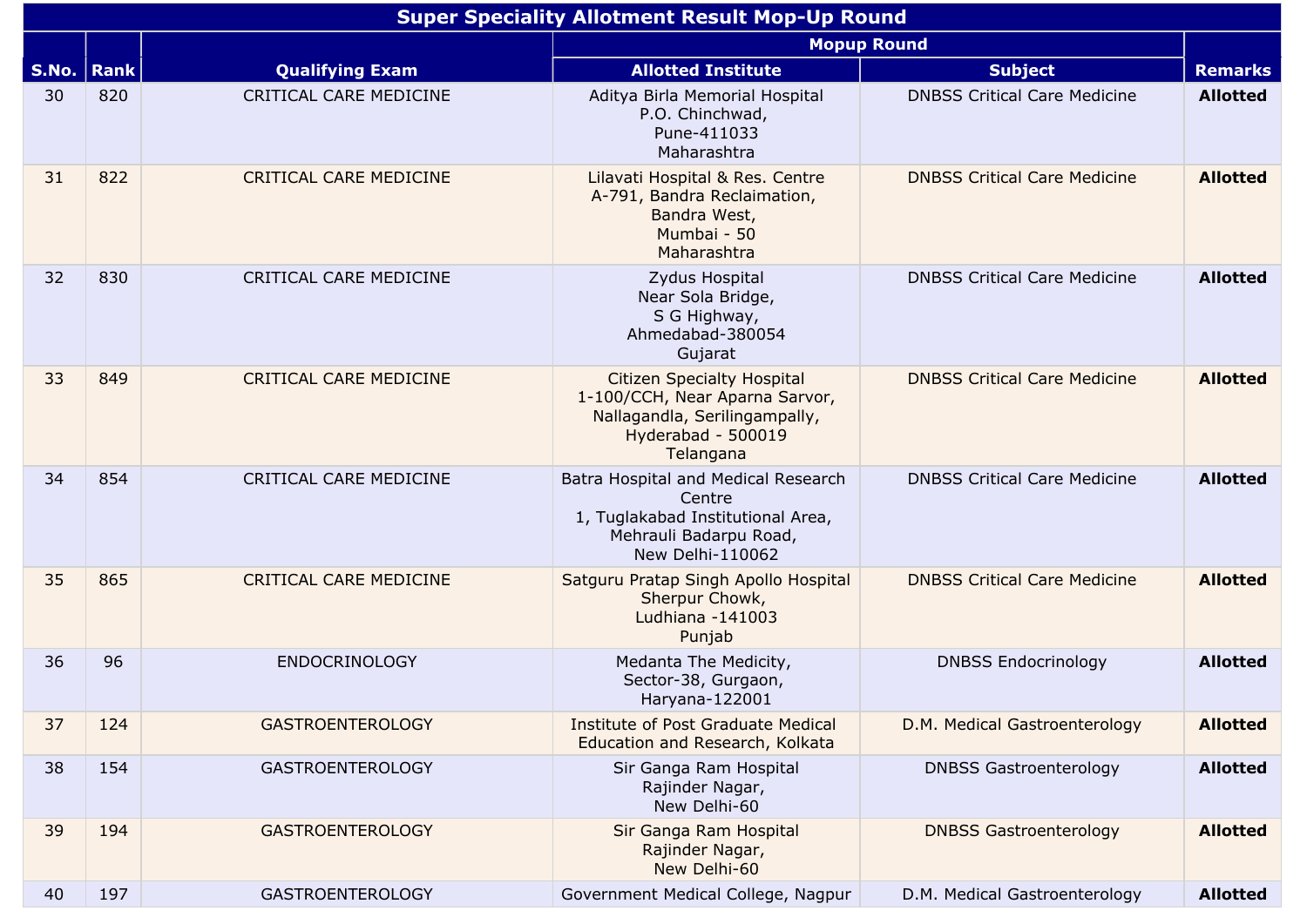|       | <b>Super Speciality Allotment Result Mop-Up Round</b> |                               |                                                                                                                                         |                                     |                 |  |  |  |
|-------|-------------------------------------------------------|-------------------------------|-----------------------------------------------------------------------------------------------------------------------------------------|-------------------------------------|-----------------|--|--|--|
|       |                                                       |                               |                                                                                                                                         | <b>Mopup Round</b>                  |                 |  |  |  |
| S.No. | <b>Rank</b>                                           | <b>Qualifying Exam</b>        | <b>Allotted Institute</b>                                                                                                               | <b>Subject</b>                      | <b>Remarks</b>  |  |  |  |
| 30    | 820                                                   | <b>CRITICAL CARE MEDICINE</b> | Aditya Birla Memorial Hospital<br>P.O. Chinchwad,<br>Pune-411033<br>Maharashtra                                                         | <b>DNBSS Critical Care Medicine</b> | <b>Allotted</b> |  |  |  |
| 31    | 822                                                   | <b>CRITICAL CARE MEDICINE</b> | Lilavati Hospital & Res. Centre<br>A-791, Bandra Reclaimation,<br>Bandra West,<br>Mumbai - 50<br>Maharashtra                            | <b>DNBSS Critical Care Medicine</b> | <b>Allotted</b> |  |  |  |
| 32    | 830                                                   | CRITICAL CARE MEDICINE        | Zydus Hospital<br>Near Sola Bridge,<br>S G Highway,<br>Ahmedabad-380054<br>Gujarat                                                      | <b>DNBSS Critical Care Medicine</b> | <b>Allotted</b> |  |  |  |
| 33    | 849                                                   | <b>CRITICAL CARE MEDICINE</b> | <b>Citizen Specialty Hospital</b><br>1-100/CCH, Near Aparna Sarvor,<br>Nallagandla, Serilingampally,<br>Hyderabad - 500019<br>Telangana | <b>DNBSS Critical Care Medicine</b> | <b>Allotted</b> |  |  |  |
| 34    | 854                                                   | CRITICAL CARE MEDICINE        | Batra Hospital and Medical Research<br>Centre<br>1, Tuglakabad Institutional Area,<br>Mehrauli Badarpu Road,<br>New Delhi-110062        | <b>DNBSS Critical Care Medicine</b> | <b>Allotted</b> |  |  |  |
| 35    | 865                                                   | CRITICAL CARE MEDICINE        | Satguru Pratap Singh Apollo Hospital<br>Sherpur Chowk,<br>Ludhiana -141003<br>Punjab                                                    | <b>DNBSS Critical Care Medicine</b> | <b>Allotted</b> |  |  |  |
| 36    | 96                                                    | <b>ENDOCRINOLOGY</b>          | Medanta The Medicity,<br>Sector-38, Gurgaon,<br>Haryana-122001                                                                          | <b>DNBSS Endocrinology</b>          | <b>Allotted</b> |  |  |  |
| 37    | 124                                                   | <b>GASTROENTEROLOGY</b>       | Institute of Post Graduate Medical<br>Education and Research, Kolkata                                                                   | D.M. Medical Gastroenterology       | <b>Allotted</b> |  |  |  |
| 38    | 154                                                   | <b>GASTROENTEROLOGY</b>       | Sir Ganga Ram Hospital<br>Rajinder Nagar,<br>New Delhi-60                                                                               | <b>DNBSS Gastroenterology</b>       | <b>Allotted</b> |  |  |  |
| 39    | 194                                                   | <b>GASTROENTEROLOGY</b>       | Sir Ganga Ram Hospital<br>Rajinder Nagar,<br>New Delhi-60                                                                               | <b>DNBSS Gastroenterology</b>       | <b>Allotted</b> |  |  |  |
| 40    | 197                                                   | <b>GASTROENTEROLOGY</b>       | Government Medical College, Nagpur                                                                                                      | D.M. Medical Gastroenterology       | <b>Allotted</b> |  |  |  |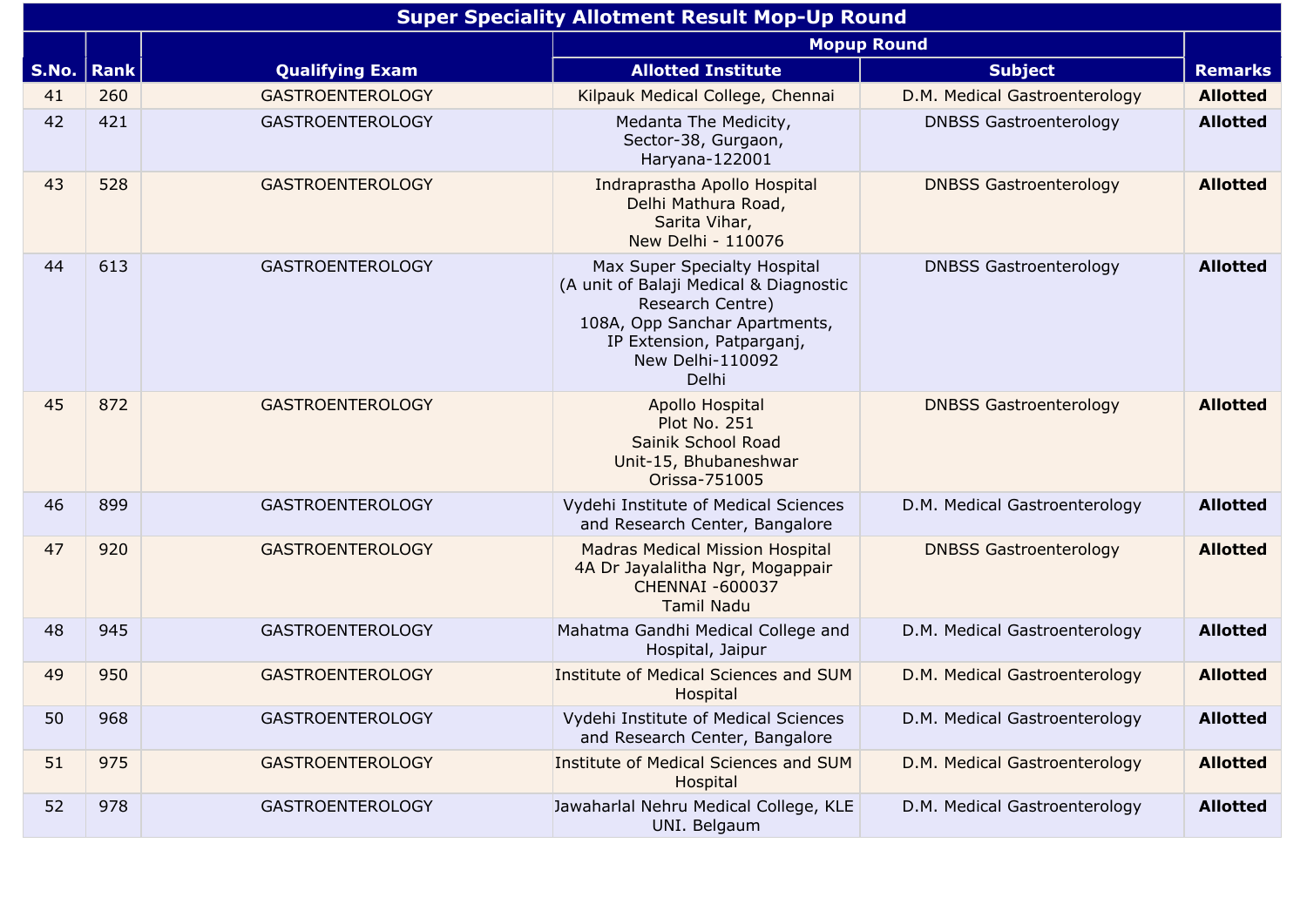|       | <b>Super Speciality Allotment Result Mop-Up Round</b> |                         |                                                                                                                                                                                       |                               |                 |  |  |  |
|-------|-------------------------------------------------------|-------------------------|---------------------------------------------------------------------------------------------------------------------------------------------------------------------------------------|-------------------------------|-----------------|--|--|--|
|       |                                                       |                         | <b>Mopup Round</b>                                                                                                                                                                    |                               |                 |  |  |  |
| S.No. | <b>Rank</b>                                           | <b>Qualifying Exam</b>  | <b>Allotted Institute</b>                                                                                                                                                             | <b>Subject</b>                | <b>Remarks</b>  |  |  |  |
| 41    | 260                                                   | <b>GASTROENTEROLOGY</b> | Kilpauk Medical College, Chennai                                                                                                                                                      | D.M. Medical Gastroenterology | <b>Allotted</b> |  |  |  |
| 42    | 421                                                   | <b>GASTROENTEROLOGY</b> | Medanta The Medicity,<br>Sector-38, Gurgaon,<br>Haryana-122001                                                                                                                        | <b>DNBSS Gastroenterology</b> | <b>Allotted</b> |  |  |  |
| 43    | 528                                                   | <b>GASTROENTEROLOGY</b> | Indraprastha Apollo Hospital<br>Delhi Mathura Road,<br>Sarita Vihar,<br>New Delhi - 110076                                                                                            | <b>DNBSS Gastroenterology</b> | <b>Allotted</b> |  |  |  |
| 44    | 613                                                   | <b>GASTROENTEROLOGY</b> | Max Super Specialty Hospital<br>(A unit of Balaji Medical & Diagnostic<br>Research Centre)<br>108A, Opp Sanchar Apartments,<br>IP Extension, Patparganj,<br>New Delhi-110092<br>Delhi | <b>DNBSS Gastroenterology</b> | <b>Allotted</b> |  |  |  |
| 45    | 872                                                   | <b>GASTROENTEROLOGY</b> | Apollo Hospital<br>Plot No. 251<br>Sainik School Road<br>Unit-15, Bhubaneshwar<br>Orissa-751005                                                                                       | <b>DNBSS Gastroenterology</b> | <b>Allotted</b> |  |  |  |
| 46    | 899                                                   | <b>GASTROENTEROLOGY</b> | Vydehi Institute of Medical Sciences<br>and Research Center, Bangalore                                                                                                                | D.M. Medical Gastroenterology | <b>Allotted</b> |  |  |  |
| 47    | 920                                                   | <b>GASTROENTEROLOGY</b> | <b>Madras Medical Mission Hospital</b><br>4A Dr Jayalalitha Ngr, Mogappair<br><b>CHENNAI -600037</b><br><b>Tamil Nadu</b>                                                             | <b>DNBSS Gastroenterology</b> | <b>Allotted</b> |  |  |  |
| 48    | 945                                                   | <b>GASTROENTEROLOGY</b> | Mahatma Gandhi Medical College and<br>Hospital, Jaipur                                                                                                                                | D.M. Medical Gastroenterology | <b>Allotted</b> |  |  |  |
| 49    | 950                                                   | <b>GASTROENTEROLOGY</b> | Institute of Medical Sciences and SUM<br>Hospital                                                                                                                                     | D.M. Medical Gastroenterology | <b>Allotted</b> |  |  |  |
| 50    | 968                                                   | <b>GASTROENTEROLOGY</b> | Vydehi Institute of Medical Sciences<br>and Research Center, Bangalore                                                                                                                | D.M. Medical Gastroenterology | <b>Allotted</b> |  |  |  |
| 51    | 975                                                   | <b>GASTROENTEROLOGY</b> | Institute of Medical Sciences and SUM<br>Hospital                                                                                                                                     | D.M. Medical Gastroenterology | <b>Allotted</b> |  |  |  |
| 52    | 978                                                   | <b>GASTROENTEROLOGY</b> | Jawaharlal Nehru Medical College, KLE<br>UNI. Belgaum                                                                                                                                 | D.M. Medical Gastroenterology | <b>Allotted</b> |  |  |  |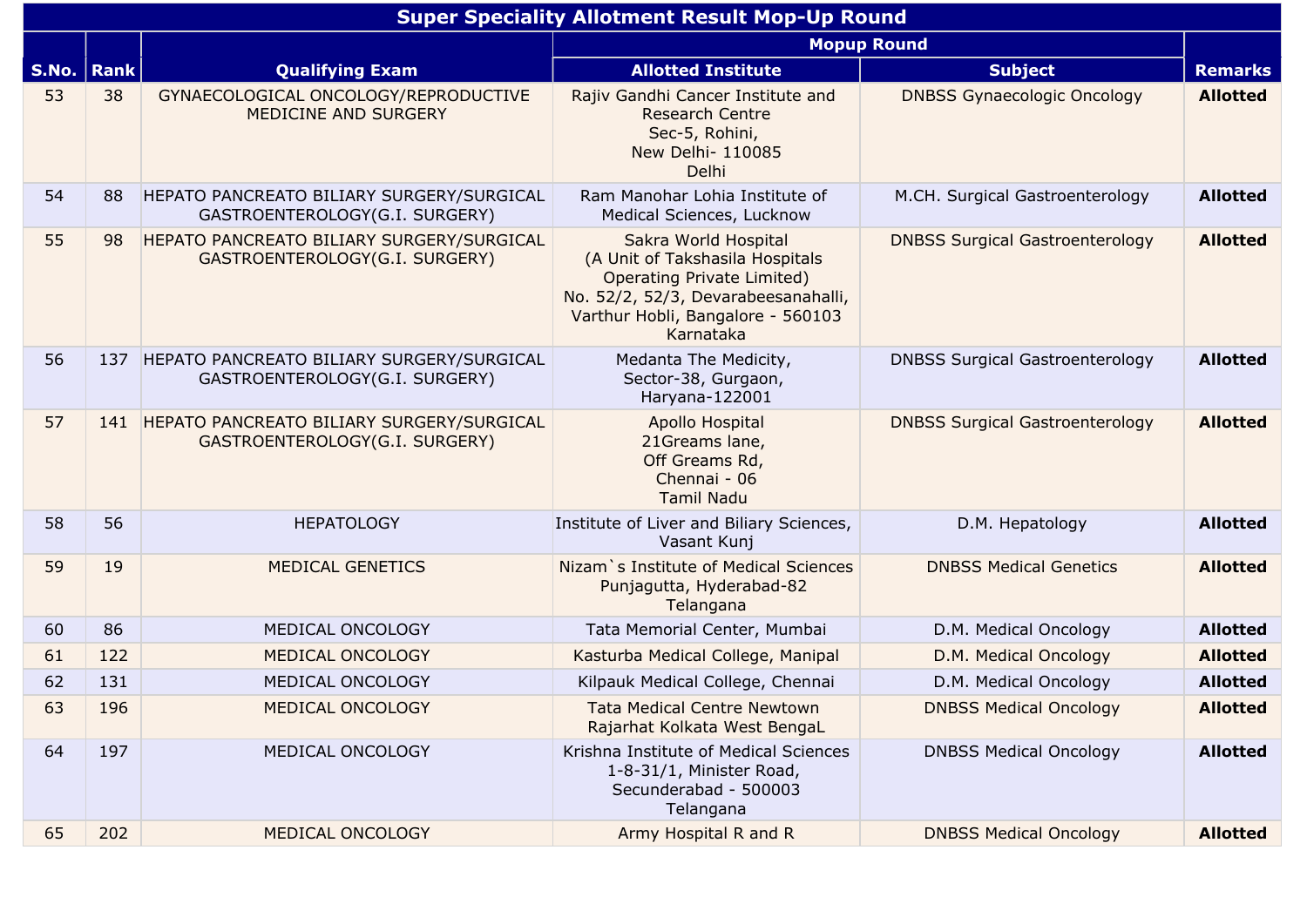|       | <b>Super Speciality Allotment Result Mop-Up Round</b> |                                                                             |                                                                                                                                                                                       |                                        |                 |  |  |  |
|-------|-------------------------------------------------------|-----------------------------------------------------------------------------|---------------------------------------------------------------------------------------------------------------------------------------------------------------------------------------|----------------------------------------|-----------------|--|--|--|
|       |                                                       |                                                                             | <b>Mopup Round</b>                                                                                                                                                                    |                                        |                 |  |  |  |
| S.No. | Rank                                                  | <b>Qualifying Exam</b>                                                      | <b>Allotted Institute</b>                                                                                                                                                             | <b>Subject</b>                         | <b>Remarks</b>  |  |  |  |
| 53    | 38                                                    | GYNAECOLOGICAL ONCOLOGY/REPRODUCTIVE<br>MEDICINE AND SURGERY                | Rajiv Gandhi Cancer Institute and<br><b>Research Centre</b><br>Sec-5, Rohini,<br>New Delhi- 110085<br>Delhi                                                                           | <b>DNBSS Gynaecologic Oncology</b>     | <b>Allotted</b> |  |  |  |
| 54    | 88                                                    | HEPATO PANCREATO BILIARY SURGERY/SURGICAL<br>GASTROENTEROLOGY(G.I. SURGERY) | Ram Manohar Lohia Institute of<br>Medical Sciences, Lucknow                                                                                                                           | M.CH. Surgical Gastroenterology        | <b>Allotted</b> |  |  |  |
| 55    | 98                                                    | HEPATO PANCREATO BILIARY SURGERY/SURGICAL<br>GASTROENTEROLOGY(G.I. SURGERY) | Sakra World Hospital<br>(A Unit of Takshasila Hospitals<br><b>Operating Private Limited)</b><br>No. 52/2, 52/3, Devarabeesanahalli,<br>Varthur Hobli, Bangalore - 560103<br>Karnataka | <b>DNBSS Surgical Gastroenterology</b> | <b>Allotted</b> |  |  |  |
| 56    | 137                                                   | HEPATO PANCREATO BILIARY SURGERY/SURGICAL<br>GASTROENTEROLOGY(G.I. SURGERY) | Medanta The Medicity,<br>Sector-38, Gurgaon,<br>Haryana-122001                                                                                                                        | <b>DNBSS Surgical Gastroenterology</b> | <b>Allotted</b> |  |  |  |
| 57    | 141                                                   | HEPATO PANCREATO BILIARY SURGERY/SURGICAL<br>GASTROENTEROLOGY(G.I. SURGERY) | Apollo Hospital<br>21Greams lane,<br>Off Greams Rd,<br>Chennai - 06<br><b>Tamil Nadu</b>                                                                                              | <b>DNBSS Surgical Gastroenterology</b> | <b>Allotted</b> |  |  |  |
| 58    | 56                                                    | <b>HEPATOLOGY</b>                                                           | Institute of Liver and Biliary Sciences,<br>Vasant Kunj                                                                                                                               | D.M. Hepatology                        | <b>Allotted</b> |  |  |  |
| 59    | 19                                                    | MEDICAL GENETICS                                                            | Nizam`s Institute of Medical Sciences<br>Punjagutta, Hyderabad-82<br>Telangana                                                                                                        | <b>DNBSS Medical Genetics</b>          | <b>Allotted</b> |  |  |  |
| 60    | 86                                                    | MEDICAL ONCOLOGY                                                            | Tata Memorial Center, Mumbai                                                                                                                                                          | D.M. Medical Oncology                  | <b>Allotted</b> |  |  |  |
| 61    | 122                                                   | MEDICAL ONCOLOGY                                                            | Kasturba Medical College, Manipal                                                                                                                                                     | D.M. Medical Oncology                  | <b>Allotted</b> |  |  |  |
| 62    | 131                                                   | MEDICAL ONCOLOGY                                                            | Kilpauk Medical College, Chennai                                                                                                                                                      | D.M. Medical Oncology                  | <b>Allotted</b> |  |  |  |
| 63    | 196                                                   | MEDICAL ONCOLOGY                                                            | <b>Tata Medical Centre Newtown</b><br>Rajarhat Kolkata West BengaL                                                                                                                    | <b>DNBSS Medical Oncology</b>          | <b>Allotted</b> |  |  |  |
| 64    | 197                                                   | MEDICAL ONCOLOGY                                                            | Krishna Institute of Medical Sciences<br>1-8-31/1, Minister Road,<br>Secunderabad - 500003<br>Telangana                                                                               | <b>DNBSS Medical Oncology</b>          | <b>Allotted</b> |  |  |  |
| 65    | 202                                                   | MEDICAL ONCOLOGY                                                            | Army Hospital R and R                                                                                                                                                                 | <b>DNBSS Medical Oncology</b>          | <b>Allotted</b> |  |  |  |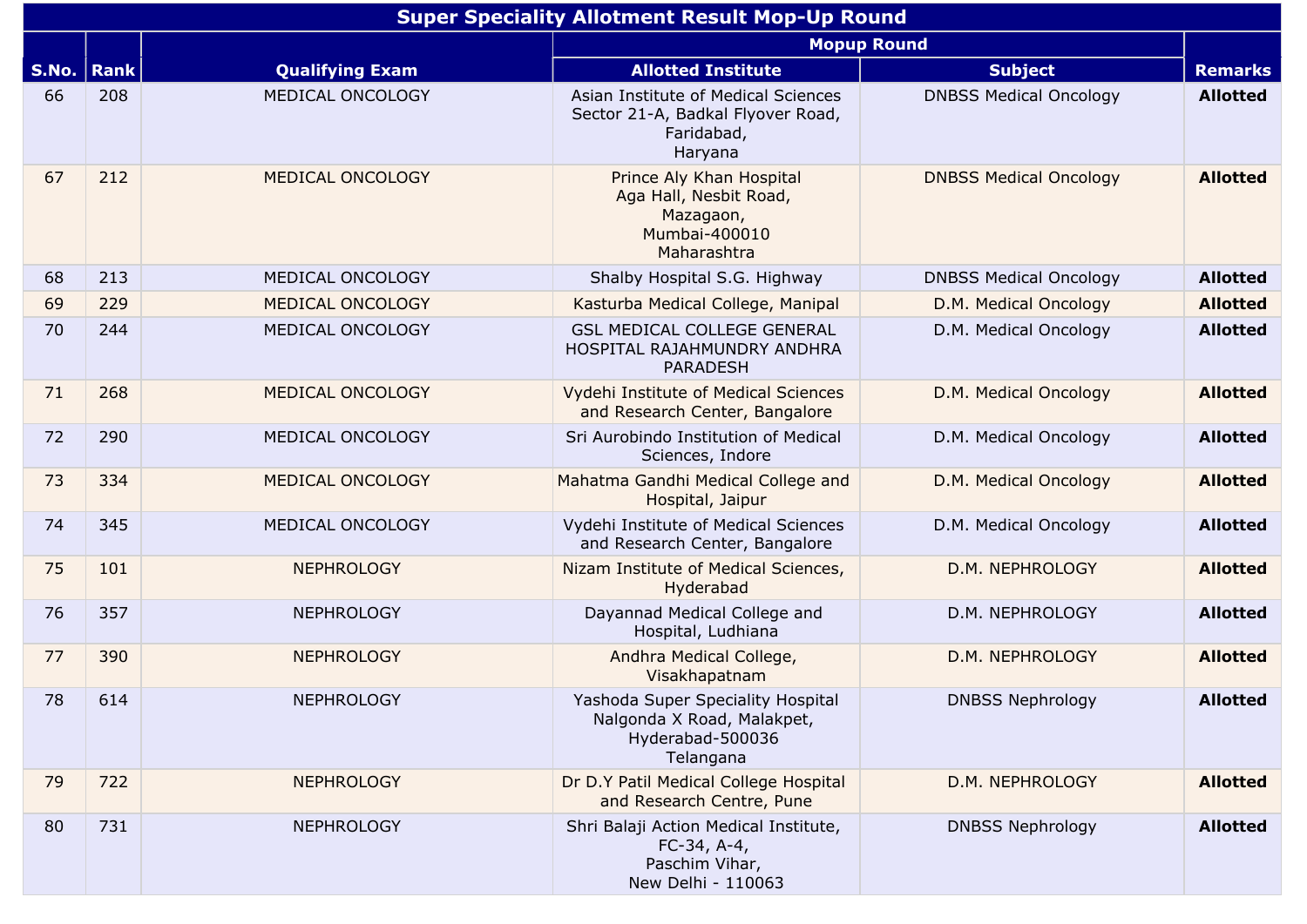|       | <b>Super Speciality Allotment Result Mop-Up Round</b> |                         |                                                                                                   |                               |                 |  |  |  |
|-------|-------------------------------------------------------|-------------------------|---------------------------------------------------------------------------------------------------|-------------------------------|-----------------|--|--|--|
|       |                                                       |                         |                                                                                                   | <b>Mopup Round</b>            |                 |  |  |  |
| S.No. | <b>Rank</b>                                           | <b>Qualifying Exam</b>  | <b>Allotted Institute</b>                                                                         | <b>Subject</b>                | <b>Remarks</b>  |  |  |  |
| 66    | 208                                                   | MEDICAL ONCOLOGY        | Asian Institute of Medical Sciences<br>Sector 21-A, Badkal Flyover Road,<br>Faridabad,<br>Haryana | <b>DNBSS Medical Oncology</b> | <b>Allotted</b> |  |  |  |
| 67    | 212                                                   | MEDICAL ONCOLOGY        | Prince Aly Khan Hospital<br>Aga Hall, Nesbit Road,<br>Mazagaon,<br>Mumbai-400010<br>Maharashtra   | <b>DNBSS Medical Oncology</b> | <b>Allotted</b> |  |  |  |
| 68    | 213                                                   | MEDICAL ONCOLOGY        | Shalby Hospital S.G. Highway                                                                      | <b>DNBSS Medical Oncology</b> | <b>Allotted</b> |  |  |  |
| 69    | 229                                                   | <b>MEDICAL ONCOLOGY</b> | Kasturba Medical College, Manipal                                                                 | D.M. Medical Oncology         | <b>Allotted</b> |  |  |  |
| 70    | 244                                                   | MEDICAL ONCOLOGY        | <b>GSL MEDICAL COLLEGE GENERAL</b><br>HOSPITAL RAJAHMUNDRY ANDHRA<br><b>PARADESH</b>              | D.M. Medical Oncology         | <b>Allotted</b> |  |  |  |
| 71    | 268                                                   | MEDICAL ONCOLOGY        | Vydehi Institute of Medical Sciences<br>and Research Center, Bangalore                            | D.M. Medical Oncology         | <b>Allotted</b> |  |  |  |
| 72    | 290                                                   | MEDICAL ONCOLOGY        | Sri Aurobindo Institution of Medical<br>Sciences, Indore                                          | D.M. Medical Oncology         | <b>Allotted</b> |  |  |  |
| 73    | 334                                                   | MEDICAL ONCOLOGY        | Mahatma Gandhi Medical College and<br>Hospital, Jaipur                                            | D.M. Medical Oncology         | <b>Allotted</b> |  |  |  |
| 74    | 345                                                   | MEDICAL ONCOLOGY        | Vydehi Institute of Medical Sciences<br>and Research Center, Bangalore                            | D.M. Medical Oncology         | <b>Allotted</b> |  |  |  |
| 75    | 101                                                   | <b>NEPHROLOGY</b>       | Nizam Institute of Medical Sciences,<br>Hyderabad                                                 | D.M. NEPHROLOGY               | <b>Allotted</b> |  |  |  |
| 76    | 357                                                   | <b>NEPHROLOGY</b>       | Dayannad Medical College and<br>Hospital, Ludhiana                                                | D.M. NEPHROLOGY               | <b>Allotted</b> |  |  |  |
| 77    | 390                                                   | <b>NEPHROLOGY</b>       | Andhra Medical College,<br>Visakhapatnam                                                          | D.M. NEPHROLOGY               | <b>Allotted</b> |  |  |  |
| 78    | 614                                                   | <b>NEPHROLOGY</b>       | Yashoda Super Speciality Hospital<br>Nalgonda X Road, Malakpet,<br>Hyderabad-500036<br>Telangana  | <b>DNBSS Nephrology</b>       | <b>Allotted</b> |  |  |  |
| 79    | 722                                                   | <b>NEPHROLOGY</b>       | Dr D.Y Patil Medical College Hospital<br>and Research Centre, Pune                                | D.M. NEPHROLOGY               | <b>Allotted</b> |  |  |  |
| 80    | 731                                                   | <b>NEPHROLOGY</b>       | Shri Balaji Action Medical Institute,<br>$FC-34, A-4,$<br>Paschim Vihar,<br>New Delhi - 110063    | <b>DNBSS Nephrology</b>       | <b>Allotted</b> |  |  |  |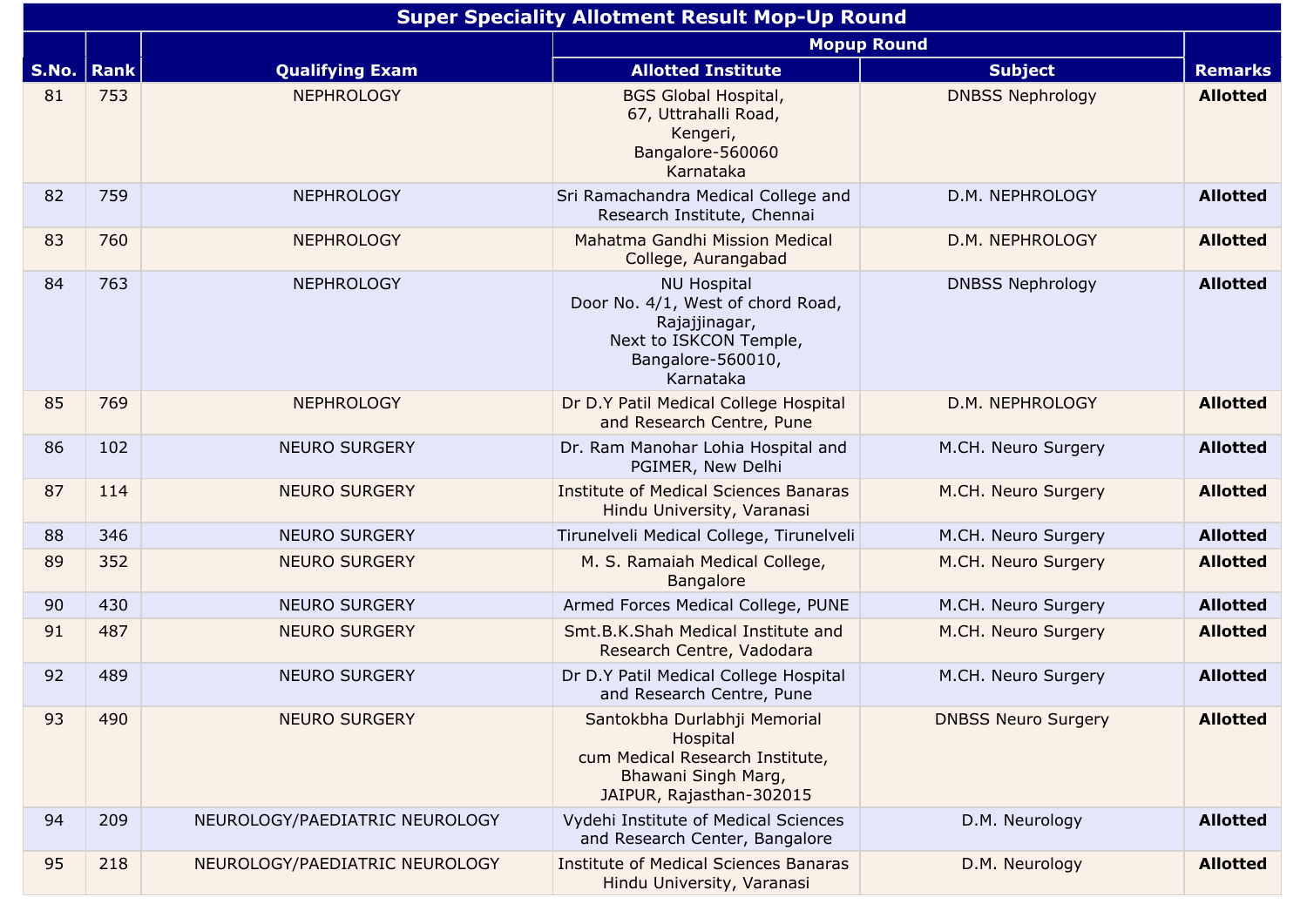|       | <b>Super Speciality Allotment Result Mop-Up Round</b> |                                |                                                                                                                                      |                            |                 |  |  |
|-------|-------------------------------------------------------|--------------------------------|--------------------------------------------------------------------------------------------------------------------------------------|----------------------------|-----------------|--|--|
|       |                                                       |                                |                                                                                                                                      | <b>Mopup Round</b>         |                 |  |  |
| S.No. | <b>Rank</b>                                           | <b>Qualifying Exam</b>         | <b>Allotted Institute</b>                                                                                                            | <b>Subject</b>             | <b>Remarks</b>  |  |  |
| 81    | 753                                                   | <b>NEPHROLOGY</b>              | <b>BGS Global Hospital,</b><br>67, Uttrahalli Road,<br>Kengeri,<br>Bangalore-560060<br>Karnataka                                     | <b>DNBSS Nephrology</b>    | <b>Allotted</b> |  |  |
| 82    | 759                                                   | <b>NEPHROLOGY</b>              | Sri Ramachandra Medical College and<br>Research Institute, Chennai                                                                   | D.M. NEPHROLOGY            | <b>Allotted</b> |  |  |
| 83    | 760                                                   | <b>NEPHROLOGY</b>              | Mahatma Gandhi Mission Medical<br>College, Aurangabad                                                                                | D.M. NEPHROLOGY            | <b>Allotted</b> |  |  |
| 84    | 763                                                   | <b>NEPHROLOGY</b>              | <b>NU Hospital</b><br>Door No. 4/1, West of chord Road,<br>Rajajjinagar,<br>Next to ISKCON Temple,<br>Bangalore-560010,<br>Karnataka | <b>DNBSS Nephrology</b>    | <b>Allotted</b> |  |  |
| 85    | 769                                                   | <b>NEPHROLOGY</b>              | Dr D.Y Patil Medical College Hospital<br>and Research Centre, Pune                                                                   | D.M. NEPHROLOGY            | <b>Allotted</b> |  |  |
| 86    | 102                                                   | <b>NEURO SURGERY</b>           | Dr. Ram Manohar Lohia Hospital and<br>PGIMER, New Delhi                                                                              | M.CH. Neuro Surgery        | <b>Allotted</b> |  |  |
| 87    | 114                                                   | <b>NEURO SURGERY</b>           | <b>Institute of Medical Sciences Banaras</b><br>Hindu University, Varanasi                                                           | M.CH. Neuro Surgery        | <b>Allotted</b> |  |  |
| 88    | 346                                                   | <b>NEURO SURGERY</b>           | Tirunelveli Medical College, Tirunelveli                                                                                             | M.CH. Neuro Surgery        | <b>Allotted</b> |  |  |
| 89    | 352                                                   | <b>NEURO SURGERY</b>           | M. S. Ramaiah Medical College,<br><b>Bangalore</b>                                                                                   | M.CH. Neuro Surgery        | <b>Allotted</b> |  |  |
| 90    | 430                                                   | <b>NEURO SURGERY</b>           | Armed Forces Medical College, PUNE                                                                                                   | M.CH. Neuro Surgery        | <b>Allotted</b> |  |  |
| 91    | 487                                                   | <b>NEURO SURGERY</b>           | Smt.B.K.Shah Medical Institute and<br>Research Centre, Vadodara                                                                      | M.CH. Neuro Surgery        | <b>Allotted</b> |  |  |
| 92    | 489                                                   | <b>NEURO SURGERY</b>           | Dr D.Y Patil Medical College Hospital<br>and Research Centre, Pune                                                                   | M.CH. Neuro Surgery        | <b>Allotted</b> |  |  |
| 93    | 490                                                   | <b>NEURO SURGERY</b>           | Santokbha Durlabhji Memorial<br>Hospital<br>cum Medical Research Institute,<br>Bhawani Singh Marg,<br>JAIPUR, Rajasthan-302015       | <b>DNBSS Neuro Surgery</b> | <b>Allotted</b> |  |  |
| 94    | 209                                                   | NEUROLOGY/PAEDIATRIC NEUROLOGY | Vydehi Institute of Medical Sciences<br>and Research Center, Bangalore                                                               | D.M. Neurology             | <b>Allotted</b> |  |  |
| 95    | 218                                                   | NEUROLOGY/PAEDIATRIC NEUROLOGY | <b>Institute of Medical Sciences Banaras</b><br>Hindu University, Varanasi                                                           | D.M. Neurology             | <b>Allotted</b> |  |  |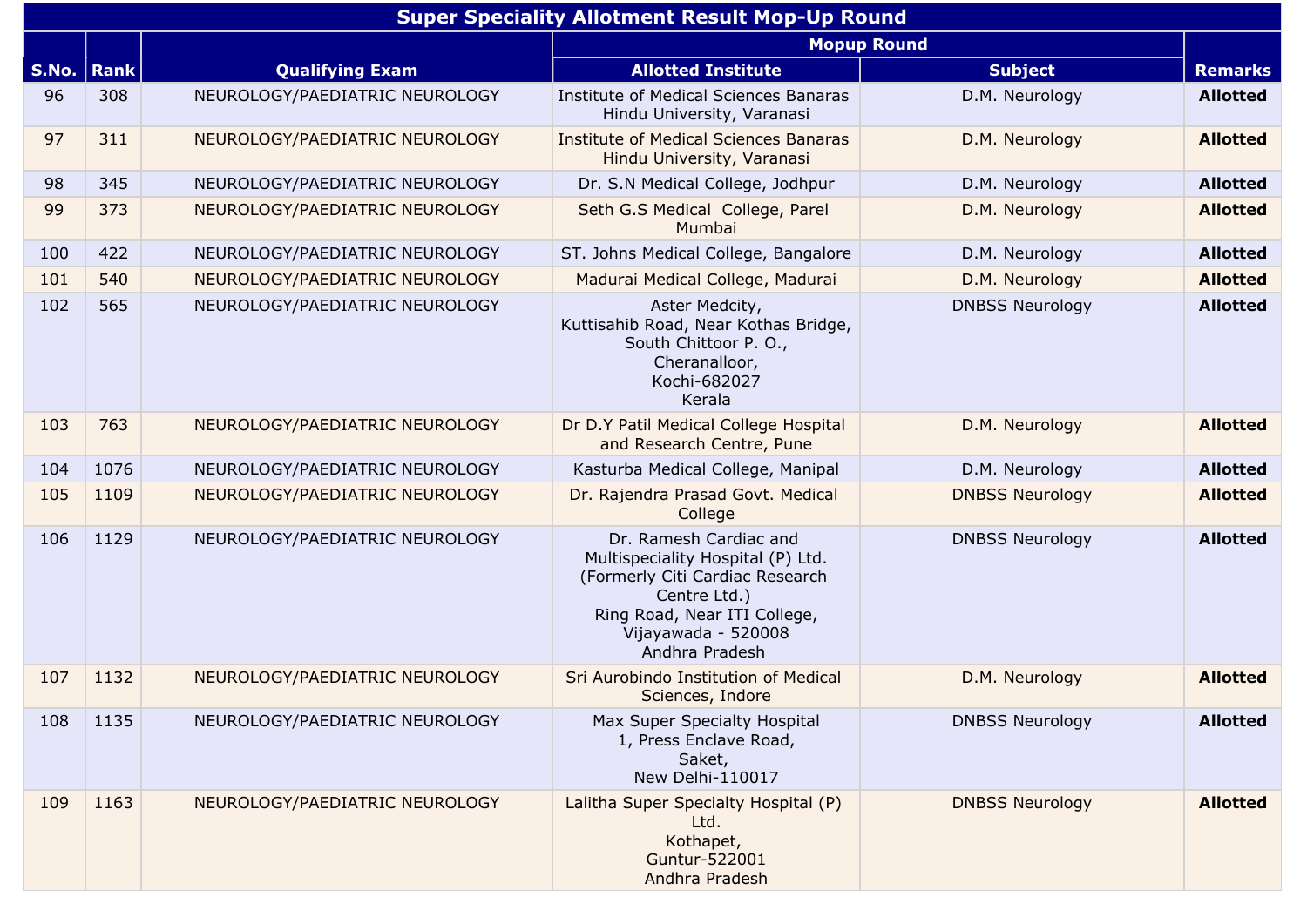|       | <b>Super Speciality Allotment Result Mop-Up Round</b> |                                |                                                                                                                                                                                         |                        |                 |  |  |  |
|-------|-------------------------------------------------------|--------------------------------|-----------------------------------------------------------------------------------------------------------------------------------------------------------------------------------------|------------------------|-----------------|--|--|--|
|       |                                                       |                                | <b>Mopup Round</b>                                                                                                                                                                      |                        |                 |  |  |  |
| S.No. | <b>Rank</b>                                           | <b>Qualifying Exam</b>         | <b>Allotted Institute</b>                                                                                                                                                               | <b>Subject</b>         | <b>Remarks</b>  |  |  |  |
| 96    | 308                                                   | NEUROLOGY/PAEDIATRIC NEUROLOGY | Institute of Medical Sciences Banaras<br>Hindu University, Varanasi                                                                                                                     | D.M. Neurology         | <b>Allotted</b> |  |  |  |
| 97    | 311                                                   | NEUROLOGY/PAEDIATRIC NEUROLOGY | <b>Institute of Medical Sciences Banaras</b><br>Hindu University, Varanasi                                                                                                              | D.M. Neurology         | <b>Allotted</b> |  |  |  |
| 98    | 345                                                   | NEUROLOGY/PAEDIATRIC NEUROLOGY | Dr. S.N Medical College, Jodhpur                                                                                                                                                        | D.M. Neurology         | <b>Allotted</b> |  |  |  |
| 99    | 373                                                   | NEUROLOGY/PAEDIATRIC NEUROLOGY | Seth G.S Medical College, Parel<br>Mumbai                                                                                                                                               | D.M. Neurology         | <b>Allotted</b> |  |  |  |
| 100   | 422                                                   | NEUROLOGY/PAEDIATRIC NEUROLOGY | ST. Johns Medical College, Bangalore                                                                                                                                                    | D.M. Neurology         | <b>Allotted</b> |  |  |  |
| 101   | 540                                                   | NEUROLOGY/PAEDIATRIC NEUROLOGY | Madurai Medical College, Madurai                                                                                                                                                        | D.M. Neurology         | <b>Allotted</b> |  |  |  |
| 102   | 565                                                   | NEUROLOGY/PAEDIATRIC NEUROLOGY | Aster Medcity,<br>Kuttisahib Road, Near Kothas Bridge,<br>South Chittoor P. O.,<br>Cheranalloor,<br>Kochi-682027<br>Kerala                                                              | <b>DNBSS Neurology</b> | <b>Allotted</b> |  |  |  |
| 103   | 763                                                   | NEUROLOGY/PAEDIATRIC NEUROLOGY | Dr D.Y Patil Medical College Hospital<br>and Research Centre, Pune                                                                                                                      | D.M. Neurology         | <b>Allotted</b> |  |  |  |
| 104   | 1076                                                  | NEUROLOGY/PAEDIATRIC NEUROLOGY | Kasturba Medical College, Manipal                                                                                                                                                       | D.M. Neurology         | <b>Allotted</b> |  |  |  |
| 105   | 1109                                                  | NEUROLOGY/PAEDIATRIC NEUROLOGY | Dr. Rajendra Prasad Govt. Medical<br>College                                                                                                                                            | <b>DNBSS Neurology</b> | <b>Allotted</b> |  |  |  |
| 106   | 1129                                                  | NEUROLOGY/PAEDIATRIC NEUROLOGY | Dr. Ramesh Cardiac and<br>Multispeciality Hospital (P) Ltd.<br>(Formerly Citi Cardiac Research<br>Centre Ltd.)<br>Ring Road, Near ITI College,<br>Vijayawada - 520008<br>Andhra Pradesh | <b>DNBSS Neurology</b> | <b>Allotted</b> |  |  |  |
| 107   | 1132                                                  | NEUROLOGY/PAEDIATRIC NEUROLOGY | Sri Aurobindo Institution of Medical<br>Sciences, Indore                                                                                                                                | D.M. Neurology         | <b>Allotted</b> |  |  |  |
| 108   | 1135                                                  | NEUROLOGY/PAEDIATRIC NEUROLOGY | Max Super Specialty Hospital<br>1, Press Enclave Road,<br>Saket,<br>New Delhi-110017                                                                                                    | <b>DNBSS Neurology</b> | <b>Allotted</b> |  |  |  |
| 109   | 1163                                                  | NEUROLOGY/PAEDIATRIC NEUROLOGY | Lalitha Super Specialty Hospital (P)<br>Ltd.<br>Kothapet,<br>Guntur-522001<br>Andhra Pradesh                                                                                            | <b>DNBSS Neurology</b> | <b>Allotted</b> |  |  |  |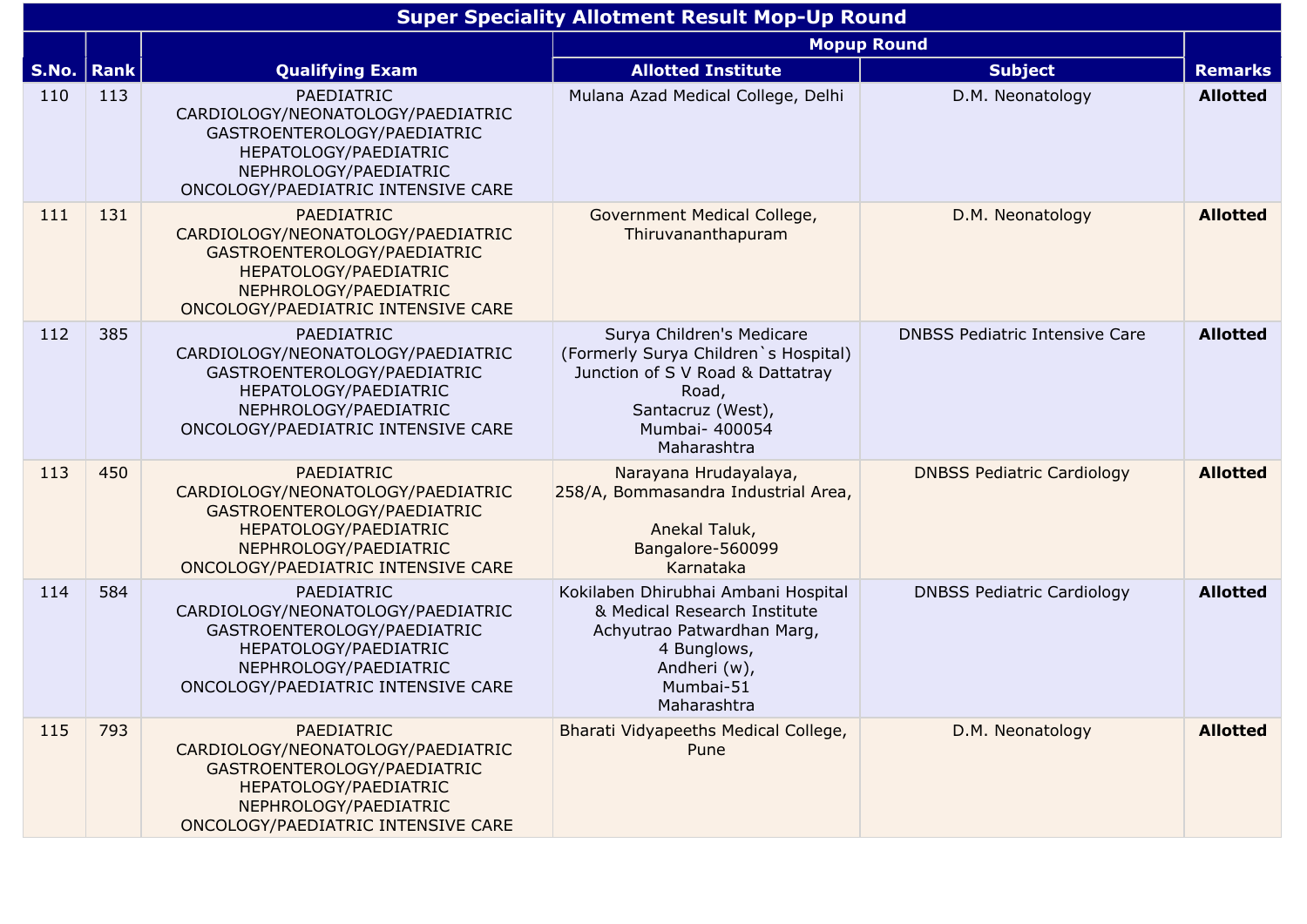|              | <b>Super Speciality Allotment Result Mop-Up Round</b> |                                                                                                                                                                               |                                                                                                                                                                      |                                       |                 |  |  |  |
|--------------|-------------------------------------------------------|-------------------------------------------------------------------------------------------------------------------------------------------------------------------------------|----------------------------------------------------------------------------------------------------------------------------------------------------------------------|---------------------------------------|-----------------|--|--|--|
|              | <b>Mopup Round</b>                                    |                                                                                                                                                                               |                                                                                                                                                                      |                                       |                 |  |  |  |
| S.No.   Rank |                                                       | <b>Qualifying Exam</b>                                                                                                                                                        | <b>Allotted Institute</b>                                                                                                                                            | <b>Subject</b>                        | <b>Remarks</b>  |  |  |  |
| 110          | 113                                                   | PAEDIATRIC<br>CARDIOLOGY/NEONATOLOGY/PAEDIATRIC<br>GASTROENTEROLOGY/PAEDIATRIC<br>HEPATOLOGY/PAEDIATRIC<br>NEPHROLOGY/PAEDIATRIC<br>ONCOLOGY/PAEDIATRIC INTENSIVE CARE        | Mulana Azad Medical College, Delhi                                                                                                                                   | D.M. Neonatology                      | <b>Allotted</b> |  |  |  |
| 111          | 131                                                   | PAEDIATRIC<br>CARDIOLOGY/NEONATOLOGY/PAEDIATRIC<br>GASTROENTEROLOGY/PAEDIATRIC<br>HEPATOLOGY/PAEDIATRIC<br>NEPHROLOGY/PAEDIATRIC<br>ONCOLOGY/PAEDIATRIC INTENSIVE CARE        | Government Medical College,<br>Thiruvananthapuram                                                                                                                    | D.M. Neonatology                      | <b>Allotted</b> |  |  |  |
| 112          | 385                                                   | PAEDIATRIC<br>CARDIOLOGY/NEONATOLOGY/PAEDIATRIC<br>GASTROENTEROLOGY/PAEDIATRIC<br>HEPATOLOGY/PAEDIATRIC<br>NEPHROLOGY/PAEDIATRIC<br>ONCOLOGY/PAEDIATRIC INTENSIVE CARE        | Surya Children's Medicare<br>(Formerly Surya Children's Hospital)<br>Junction of S V Road & Dattatray<br>Road,<br>Santacruz (West),<br>Mumbai- 400054<br>Maharashtra | <b>DNBSS Pediatric Intensive Care</b> | <b>Allotted</b> |  |  |  |
| 113          | 450                                                   | <b>PAEDIATRIC</b><br>CARDIOLOGY/NEONATOLOGY/PAEDIATRIC<br>GASTROENTEROLOGY/PAEDIATRIC<br>HEPATOLOGY/PAEDIATRIC<br>NEPHROLOGY/PAEDIATRIC<br>ONCOLOGY/PAEDIATRIC INTENSIVE CARE | Narayana Hrudayalaya,<br>258/A, Bommasandra Industrial Area,<br>Anekal Taluk,<br>Bangalore-560099<br>Karnataka                                                       | <b>DNBSS Pediatric Cardiology</b>     | <b>Allotted</b> |  |  |  |
| 114          | 584                                                   | PAEDIATRIC<br>CARDIOLOGY/NEONATOLOGY/PAEDIATRIC<br>GASTROENTEROLOGY/PAEDIATRIC<br>HEPATOLOGY/PAEDIATRIC<br>NEPHROLOGY/PAEDIATRIC<br>ONCOLOGY/PAEDIATRIC INTENSIVE CARE        | Kokilaben Dhirubhai Ambani Hospital<br>& Medical Research Institute<br>Achyutrao Patwardhan Marg,<br>4 Bunglows,<br>Andheri (w),<br>Mumbai-51<br>Maharashtra         | <b>DNBSS Pediatric Cardiology</b>     | <b>Allotted</b> |  |  |  |
| 115          | 793                                                   | PAEDIATRIC<br>CARDIOLOGY/NEONATOLOGY/PAEDIATRIC<br>GASTROENTEROLOGY/PAEDIATRIC<br>HEPATOLOGY/PAEDIATRIC<br>NEPHROLOGY/PAEDIATRIC<br>ONCOLOGY/PAEDIATRIC INTENSIVE CARE        | Bharati Vidyapeeths Medical College,<br>Pune                                                                                                                         | D.M. Neonatology                      | <b>Allotted</b> |  |  |  |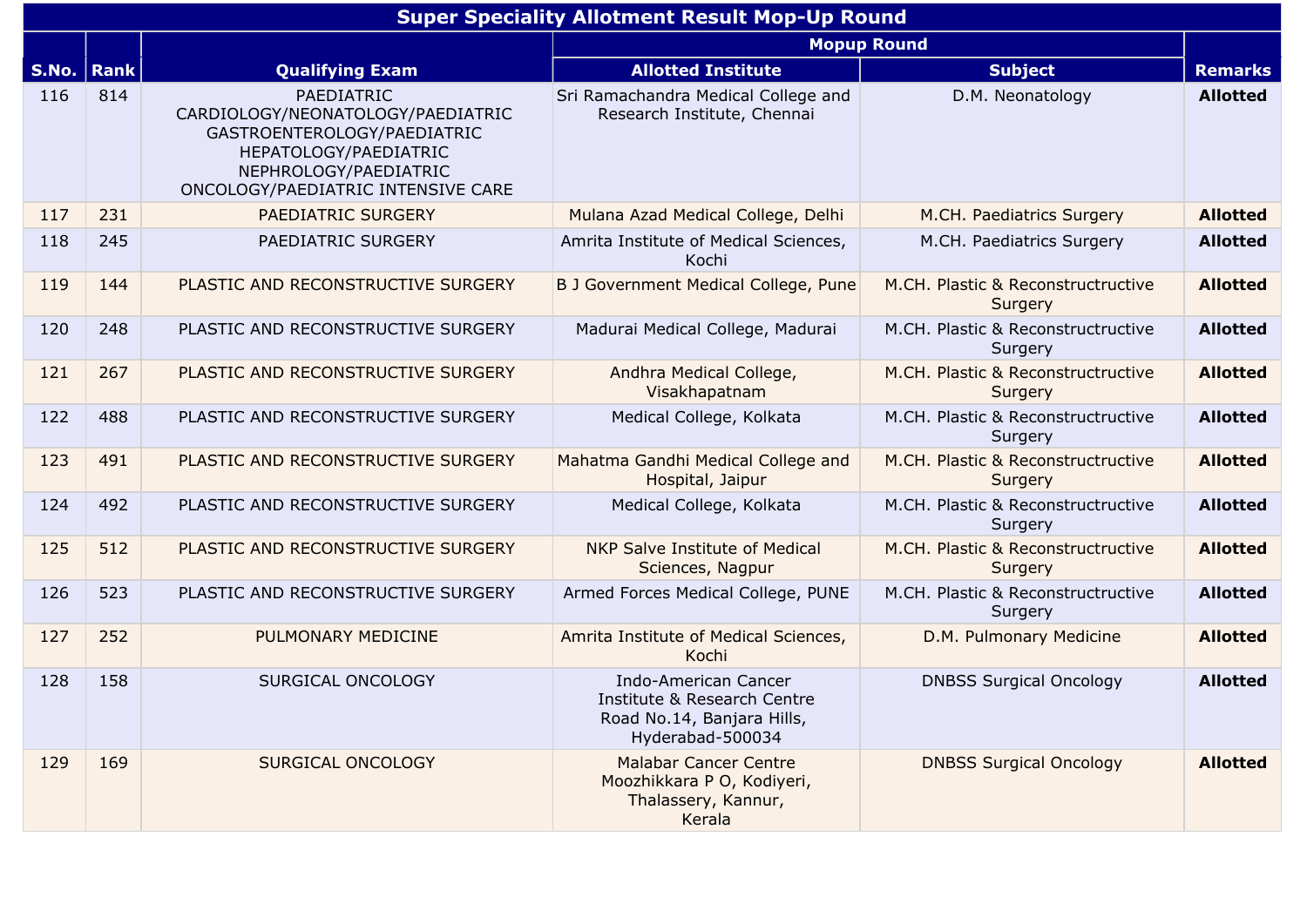|              | <b>Super Speciality Allotment Result Mop-Up Round</b> |                                                                                                                                                                        |                                                                                                              |                                               |                 |  |  |  |
|--------------|-------------------------------------------------------|------------------------------------------------------------------------------------------------------------------------------------------------------------------------|--------------------------------------------------------------------------------------------------------------|-----------------------------------------------|-----------------|--|--|--|
|              | <b>Mopup Round</b>                                    |                                                                                                                                                                        |                                                                                                              |                                               |                 |  |  |  |
| S.No.   Rank |                                                       | <b>Qualifying Exam</b>                                                                                                                                                 | <b>Allotted Institute</b>                                                                                    | <b>Subject</b>                                | <b>Remarks</b>  |  |  |  |
| 116          | 814                                                   | PAEDIATRIC<br>CARDIOLOGY/NEONATOLOGY/PAEDIATRIC<br>GASTROENTEROLOGY/PAEDIATRIC<br>HEPATOLOGY/PAEDIATRIC<br>NEPHROLOGY/PAEDIATRIC<br>ONCOLOGY/PAEDIATRIC INTENSIVE CARE | Sri Ramachandra Medical College and<br>Research Institute, Chennai                                           | D.M. Neonatology                              | <b>Allotted</b> |  |  |  |
| 117          | 231                                                   | PAEDIATRIC SURGERY                                                                                                                                                     | Mulana Azad Medical College, Delhi                                                                           | M.CH. Paediatrics Surgery                     | <b>Allotted</b> |  |  |  |
| 118          | 245                                                   | PAEDIATRIC SURGERY                                                                                                                                                     | Amrita Institute of Medical Sciences,<br>Kochi                                                               | M.CH. Paediatrics Surgery                     | <b>Allotted</b> |  |  |  |
| 119          | 144                                                   | PLASTIC AND RECONSTRUCTIVE SURGERY                                                                                                                                     | B J Government Medical College, Pune                                                                         | M.CH. Plastic & Reconstructructive<br>Surgery | <b>Allotted</b> |  |  |  |
| 120          | 248                                                   | PLASTIC AND RECONSTRUCTIVE SURGERY                                                                                                                                     | Madurai Medical College, Madurai                                                                             | M.CH. Plastic & Reconstructructive<br>Surgery | <b>Allotted</b> |  |  |  |
| 121          | 267                                                   | PLASTIC AND RECONSTRUCTIVE SURGERY                                                                                                                                     | Andhra Medical College,<br>Visakhapatnam                                                                     | M.CH. Plastic & Reconstructructive<br>Surgery | <b>Allotted</b> |  |  |  |
| 122          | 488                                                   | PLASTIC AND RECONSTRUCTIVE SURGERY                                                                                                                                     | Medical College, Kolkata                                                                                     | M.CH. Plastic & Reconstructructive<br>Surgery | <b>Allotted</b> |  |  |  |
| 123          | 491                                                   | PLASTIC AND RECONSTRUCTIVE SURGERY                                                                                                                                     | Mahatma Gandhi Medical College and<br>Hospital, Jaipur                                                       | M.CH. Plastic & Reconstructructive<br>Surgery | <b>Allotted</b> |  |  |  |
| 124          | 492                                                   | PLASTIC AND RECONSTRUCTIVE SURGERY                                                                                                                                     | Medical College, Kolkata                                                                                     | M.CH. Plastic & Reconstructructive<br>Surgery | <b>Allotted</b> |  |  |  |
| 125          | 512                                                   | PLASTIC AND RECONSTRUCTIVE SURGERY                                                                                                                                     | NKP Salve Institute of Medical<br>Sciences, Nagpur                                                           | M.CH. Plastic & Reconstructructive<br>Surgery | <b>Allotted</b> |  |  |  |
| 126          | 523                                                   | PLASTIC AND RECONSTRUCTIVE SURGERY                                                                                                                                     | Armed Forces Medical College, PUNE                                                                           | M.CH. Plastic & Reconstructructive<br>Surgery | <b>Allotted</b> |  |  |  |
| 127          | 252                                                   | PULMONARY MEDICINE                                                                                                                                                     | Amrita Institute of Medical Sciences,<br>Kochi                                                               | D.M. Pulmonary Medicine                       | <b>Allotted</b> |  |  |  |
| 128          | 158                                                   | SURGICAL ONCOLOGY                                                                                                                                                      | <b>Indo-American Cancer</b><br>Institute & Research Centre<br>Road No.14, Banjara Hills,<br>Hyderabad-500034 | <b>DNBSS Surgical Oncology</b>                | <b>Allotted</b> |  |  |  |
| 129          | 169                                                   | SURGICAL ONCOLOGY                                                                                                                                                      | <b>Malabar Cancer Centre</b><br>Moozhikkara P O, Kodiyeri,<br>Thalassery, Kannur,<br>Kerala                  | <b>DNBSS Surgical Oncology</b>                | <b>Allotted</b> |  |  |  |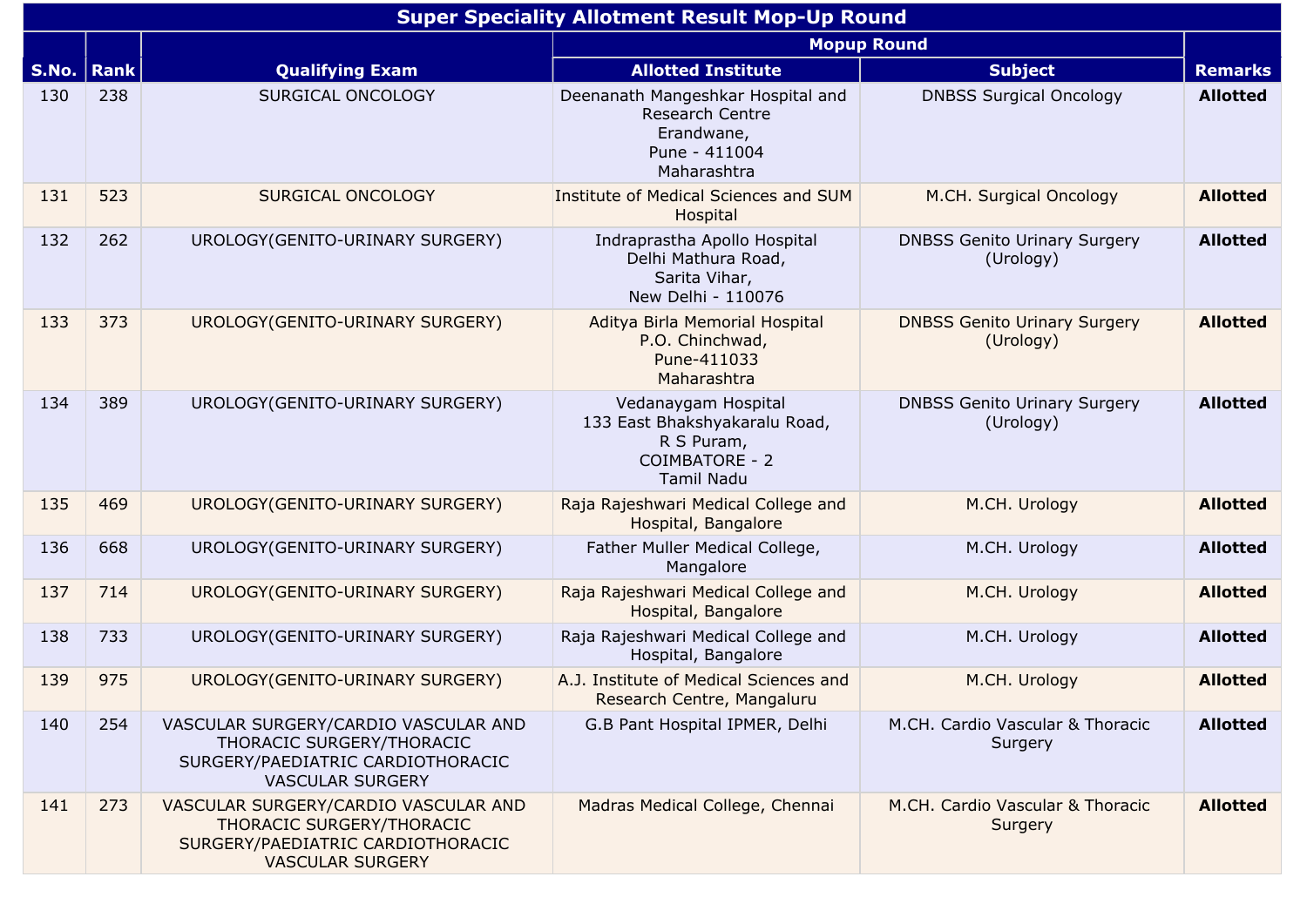|       | <b>Super Speciality Allotment Result Mop-Up Round</b> |                                                                                                                                   |                                                                                                                  |                                                  |                 |  |  |  |
|-------|-------------------------------------------------------|-----------------------------------------------------------------------------------------------------------------------------------|------------------------------------------------------------------------------------------------------------------|--------------------------------------------------|-----------------|--|--|--|
|       |                                                       |                                                                                                                                   | <b>Mopup Round</b>                                                                                               |                                                  |                 |  |  |  |
| S.No. | $\vert$ Rank                                          | <b>Qualifying Exam</b>                                                                                                            | <b>Allotted Institute</b>                                                                                        | <b>Subject</b>                                   | <b>Remarks</b>  |  |  |  |
| 130   | 238                                                   | SURGICAL ONCOLOGY                                                                                                                 | Deenanath Mangeshkar Hospital and<br><b>Research Centre</b><br>Erandwane,<br>Pune - 411004<br>Maharashtra        | <b>DNBSS Surgical Oncology</b>                   | <b>Allotted</b> |  |  |  |
| 131   | 523                                                   | SURGICAL ONCOLOGY                                                                                                                 | Institute of Medical Sciences and SUM<br>Hospital                                                                | M.CH. Surgical Oncology                          | <b>Allotted</b> |  |  |  |
| 132   | 262                                                   | UROLOGY (GENITO-URINARY SURGERY)                                                                                                  | Indraprastha Apollo Hospital<br>Delhi Mathura Road,<br>Sarita Vihar,<br>New Delhi - 110076                       | <b>DNBSS Genito Urinary Surgery</b><br>(Urology) | <b>Allotted</b> |  |  |  |
| 133   | 373                                                   | UROLOGY (GENITO-URINARY SURGERY)                                                                                                  | Aditya Birla Memorial Hospital<br>P.O. Chinchwad,<br>Pune-411033<br>Maharashtra                                  | <b>DNBSS Genito Urinary Surgery</b><br>(Urology) | <b>Allotted</b> |  |  |  |
| 134   | 389                                                   | UROLOGY (GENITO-URINARY SURGERY)                                                                                                  | Vedanaygam Hospital<br>133 East Bhakshyakaralu Road,<br>R S Puram,<br><b>COIMBATORE - 2</b><br><b>Tamil Nadu</b> | <b>DNBSS Genito Urinary Surgery</b><br>(Urology) | <b>Allotted</b> |  |  |  |
| 135   | 469                                                   | UROLOGY (GENITO-URINARY SURGERY)                                                                                                  | Raja Rajeshwari Medical College and<br>Hospital, Bangalore                                                       | M.CH. Urology                                    | <b>Allotted</b> |  |  |  |
| 136   | 668                                                   | UROLOGY (GENITO-URINARY SURGERY)                                                                                                  | Father Muller Medical College,<br>Mangalore                                                                      | M.CH. Urology                                    | <b>Allotted</b> |  |  |  |
| 137   | 714                                                   | UROLOGY (GENITO-URINARY SURGERY)                                                                                                  | Raja Rajeshwari Medical College and<br>Hospital, Bangalore                                                       | M.CH. Urology                                    | <b>Allotted</b> |  |  |  |
| 138   | 733                                                   | UROLOGY (GENITO-URINARY SURGERY)                                                                                                  | Raja Rajeshwari Medical College and<br>Hospital, Bangalore                                                       | M.CH. Urology                                    | <b>Allotted</b> |  |  |  |
| 139   | 975                                                   | UROLOGY (GENITO-URINARY SURGERY)                                                                                                  | A.J. Institute of Medical Sciences and<br>Research Centre, Mangaluru                                             | M.CH. Urology                                    | <b>Allotted</b> |  |  |  |
| 140   | 254                                                   | VASCULAR SURGERY/CARDIO VASCULAR AND<br>THORACIC SURGERY/THORACIC<br>SURGERY/PAEDIATRIC CARDIOTHORACIC<br><b>VASCULAR SURGERY</b> | G.B Pant Hospital IPMER, Delhi                                                                                   | M.CH. Cardio Vascular & Thoracic<br>Surgery      | <b>Allotted</b> |  |  |  |
| 141   | 273                                                   | VASCULAR SURGERY/CARDIO VASCULAR AND<br>THORACIC SURGERY/THORACIC<br>SURGERY/PAEDIATRIC CARDIOTHORACIC<br><b>VASCULAR SURGERY</b> | Madras Medical College, Chennai                                                                                  | M.CH. Cardio Vascular & Thoracic<br>Surgery      | <b>Allotted</b> |  |  |  |